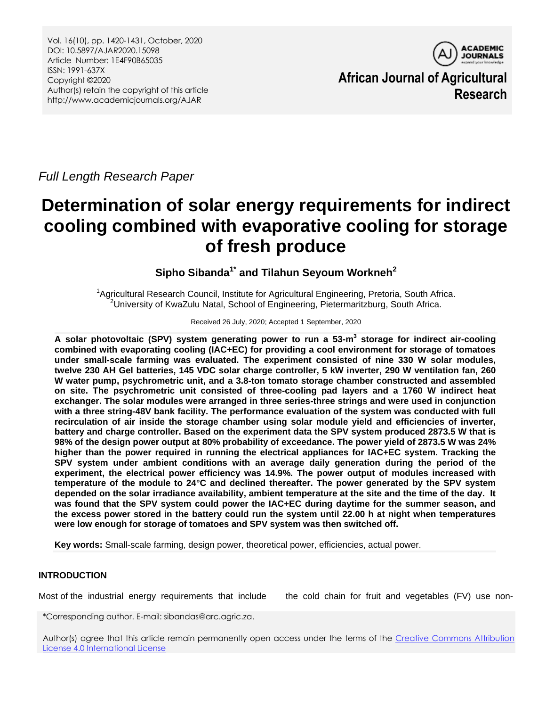Vol. 16(10), pp. 1420-1431, October, 2020 DOI: 10.5897/AJAR2020.15098 Article Number: 1E4F90B65035 ISSN: 1991-637X Copyright ©2020 Author(s) retain the copyright of this article http://www.academicjournals.org/AJAR



**African Journal of Agricultural Research**

*Full Length Research Paper*

# **Determination of solar energy requirements for indirect cooling combined with evaporative cooling for storage of fresh produce**

# **Sipho Sibanda1\* and Tilahun Seyoum Workneh<sup>2</sup>**

<sup>1</sup>Agricultural Research Council, Institute for Agricultural Engineering, Pretoria, South Africa.  $^{2}$ University of KwaZulu Natal, School of Engineering, Pietermaritzburg, South Africa.

#### Received 26 July, 2020; Accepted 1 September, 2020

**A solar photovoltaic (SPV) system generating power to run a 53-m 3 storage for indirect air-cooling combined with evaporating cooling (IAC+EC) for providing a cool environment for storage of tomatoes under small-scale farming was evaluated. The experiment consisted of nine 330 W solar modules, twelve 230 AH Gel batteries, 145 VDC solar charge controller, 5 kW inverter, 290 W ventilation fan, 260 W water pump, psychrometric unit, and a 3.8-ton tomato storage chamber constructed and assembled on site. The psychrometric unit consisted of three-cooling pad layers and a 1760 W indirect heat exchanger. The solar modules were arranged in three series-three strings and were used in conjunction with a three string-48V bank facility. The performance evaluation of the system was conducted with full recirculation of air inside the storage chamber using solar module yield and efficiencies of inverter, battery and charge controller. Based on the experiment data the SPV system produced 2873.5 W that is 98% of the design power output at 80% probability of exceedance. The power yield of 2873.5 W was 24% higher than the power required in running the electrical appliances for IAC+EC system. Tracking the SPV system under ambient conditions with an average daily generation during the period of the experiment, the electrical power efficiency was 14.9%. The power output of modules increased with temperature of the module to 24°C and declined thereafter. The power generated by the SPV system depended on the solar irradiance availability, ambient temperature at the site and the time of the day. It was found that the SPV system could power the IAC+EC during daytime for the summer season, and the excess power stored in the battery could run the system until 22.00 h at night when temperatures were low enough for storage of tomatoes and SPV system was then switched off.**

**Key words:** Small-scale farming, design power, theoretical power, efficiencies, actual power.

# **INTRODUCTION**

Most of the industrial energy requirements that include the cold chain for fruit and vegetables (FV) use non-

\*Corresponding author. E-mail: sibandas@arc.agric.za.

Author(s) agree that this article remain permanently open access under the terms of the Creative Commons Attribution [License 4.0 International License](http://creativecommons.org/licenses/by/4.0/deed.en_US)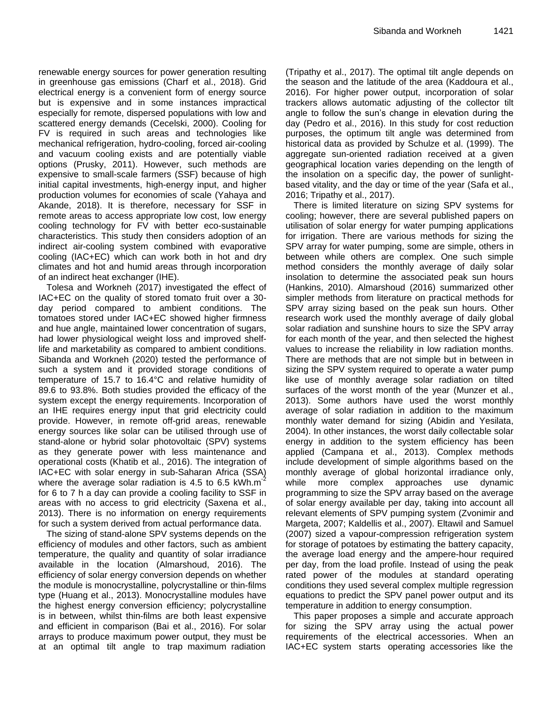renewable energy sources for power generation resulting in greenhouse gas emissions (Charf et al., 2018). Grid electrical energy is a convenient form of energy source but is expensive and in some instances impractical especially for remote, dispersed populations with low and scattered energy demands (Cecelski, 2000). Cooling for FV is required in such areas and technologies like mechanical refrigeration, hydro-cooling, forced air-cooling and vacuum cooling exists and are potentially viable options (Prusky, 2011). However, such methods are expensive to small-scale farmers (SSF) because of high initial capital investments, high-energy input, and higher production volumes for economies of scale (Yahaya and Akande, 2018). It is therefore, necessary for SSF in remote areas to access appropriate low cost, low energy cooling technology for FV with better eco-sustainable characteristics. This study then considers adoption of an indirect air-cooling system combined with evaporative cooling (IAC+EC) which can work both in hot and dry climates and hot and humid areas through incorporation of an indirect heat exchanger (IHE).

Tolesa and Workneh (2017) investigated the effect of IAC+EC on the quality of stored tomato fruit over a 30 day period compared to ambient conditions. The tomatoes stored under IAC+EC showed higher firmness and hue angle, maintained lower concentration of sugars, had lower physiological weight loss and improved shelflife and marketability as compared to ambient conditions. Sibanda and Workneh (2020) tested the performance of such a system and it provided storage conditions of temperature of 15.7 to 16.4°C and relative humidity of 89.6 to 93.8%. Both studies provided the efficacy of the system except the energy requirements. Incorporation of an IHE requires energy input that grid electricity could provide. However, in remote off-grid areas, renewable energy sources like solar can be utilised through use of stand-alone or hybrid solar photovoltaic (SPV) systems as they generate power with less maintenance and operational costs (Khatib et al., 2016). The integration of IAC+EC with solar energy in sub-Saharan Africa (SSA) where the average solar radiation is 4.5 to 6.5 kWh.m<sup>-2</sup> for 6 to 7 h a day can provide a cooling facility to SSF in areas with no access to grid electricity (Saxena et al., 2013). There is no information on energy requirements for such a system derived from actual performance data.

The sizing of stand-alone SPV systems depends on the efficiency of modules and other factors, such as ambient temperature, the quality and quantity of solar irradiance available in the location (Almarshoud, 2016). The efficiency of solar energy conversion depends on whether the module is monocrystalline, polycrystalline or thin-films type (Huang et al., 2013). Monocrystalline modules have the highest energy conversion efficiency; polycrystalline is in between, whilst thin-films are both least expensive and efficient in comparison (Bai et al., 2016). For solar arrays to produce maximum power output, they must be at an optimal tilt angle to trap maximum radiation (Tripathy et al., 2017). The optimal tilt angle depends on the season and the latitude of the area (Kaddoura et al., 2016). For higher power output, incorporation of solar trackers allows automatic adjusting of the collector tilt angle to follow the sun's change in elevation during the day (Pedro et al., 2016). In this study for cost reduction purposes, the optimum tilt angle was determined from historical data as provided by Schulze et al. (1999). The aggregate sun-oriented radiation received at a given geographical location varies depending on the length of the insolation on a specific day, the power of sunlightbased vitality, and the day or time of the year (Safa et al., 2016; Tripathy et al., 2017).

There is limited literature on sizing SPV systems for cooling; however, there are several published papers on utilisation of solar energy for water pumping applications for irrigation. There are various methods for sizing the SPV array for water pumping, some are simple, others in between while others are complex. One such simple method considers the monthly average of daily solar insolation to determine the associated peak sun hours (Hankins, 2010). Almarshoud (2016) summarized other simpler methods from literature on practical methods for SPV array sizing based on the peak sun hours. Other research work used the monthly average of daily global solar radiation and sunshine hours to size the SPV array for each month of the year, and then selected the highest values to increase the reliability in low radiation months. There are methods that are not simple but in between in sizing the SPV system required to operate a water pump like use of monthly average solar radiation on tilted surfaces of the worst month of the year (Munzer et al., 2013). Some authors have used the worst monthly average of solar radiation in addition to the maximum monthly water demand for sizing (Abidin and Yesilata, 2004). In other instances, the worst daily collectable solar energy in addition to the system efficiency has been applied (Campana et al., 2013). Complex methods include development of simple algorithms based on the monthly average of global horizontal irradiance only, while more complex approaches use dynamic programming to size the SPV array based on the average of solar energy available per day, taking into account all relevant elements of SPV pumping system (Zvonimir and Margeta, 2007; Kaldellis et al., 2007). Eltawil and Samuel (2007) sized a vapour-compression refrigeration system for storage of potatoes by estimating the battery capacity, the average load energy and the ampere-hour required per day, from the load profile. Instead of using the peak rated power of the modules at standard operating conditions they used several complex multiple regression equations to predict the SPV panel power output and its temperature in addition to energy consumption.

This paper proposes a simple and accurate approach for sizing the SPV array using the actual power requirements of the electrical accessories. When an IAC+EC system starts operating accessories like the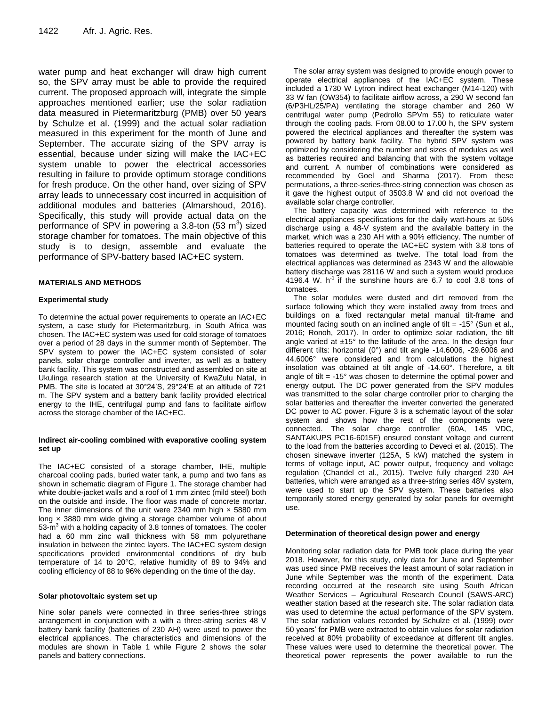water pump and heat exchanger will draw high current so, the SPV array must be able to provide the required current. The proposed approach will, integrate the simple approaches mentioned earlier; use the solar radiation data measured in Pietermaritzburg (PMB) over 50 years by Schulze et al. (1999) and the actual solar radiation measured in this experiment for the month of June and September. The accurate sizing of the SPV array is essential, because under sizing will make the IAC+EC system unable to power the electrical accessories resulting in failure to provide optimum storage conditions for fresh produce. On the other hand, over sizing of SPV array leads to unnecessary cost incurred in acquisition of additional modules and batteries (Almarshoud, 2016). Specifically, this study will provide actual data on the performance of SPV in powering a 3.8-ton  $(53 \text{ m}^3)$  sized storage chamber for tomatoes. The main objective of this study is to design, assemble and evaluate the performance of SPV-battery based IAC+EC system.

#### **MATERIALS AND METHODS**

#### **Experimental study**

To determine the actual power requirements to operate an IAC+EC system, a case study for Pietermaritzburg, in South Africa was chosen. The IAC+EC system was used for cold storage of tomatoes over a period of 28 days in the summer month of September. The SPV system to power the IAC+EC system consisted of solar panels, solar charge controller and inverter, as well as a battery bank facility. This system was constructed and assembled on site at Ukulinga research station at the University of KwaZulu Natal, in PMB. The site is located at 30°24'S, 29°24'E at an altitude of 721 m. The SPV system and a battery bank facility provided electrical energy to the IHE, centrifugal pump and fans to facilitate airflow across the storage chamber of the IAC+EC.

#### **Indirect air-cooling combined with evaporative cooling system set up**

The IAC+EC consisted of a storage chamber, IHE, multiple charcoal cooling pads, buried water tank, a pump and two fans as shown in schematic diagram of Figure 1. The storage chamber had white double-jacket walls and a roof of 1 mm zintec (mild steel) both on the outside and inside. The floor was made of concrete mortar. The inner dimensions of the unit were 2340 mm high  $\times$  5880 mm long × 3880 mm wide giving a storage chamber volume of about 53-m<sup>3</sup> with a holding capacity of 3.8 tonnes of tomatoes. The cooler had a 60 mm zinc wall thickness with 58 mm polyurethane insulation in between the zintec layers. The IAC+EC system design specifications provided environmental conditions of dry bulb temperature of 14 to 20°C, relative humidity of 89 to 94% and cooling efficiency of 88 to 96% depending on the time of the day.

#### **Solar photovoltaic system set up**

Nine solar panels were connected in three series-three strings arrangement in conjunction with a with a three-string series 48 V battery bank facility (batteries of 230 AH) were used to power the electrical appliances. The characteristics and dimensions of the modules are shown in Table 1 while Figure 2 shows the solar panels and battery connections.

The solar array system was designed to provide enough power to operate electrical appliances of the IAC+EC system. These included a 1730 W Lytron indirect heat exchanger (M14-120) with 33 W fan (OW354) to facilitate airflow across, a 290 W second fan (6/P3HL/25/PA) ventilating the storage chamber and 260 W centrifugal water pump (Pedrollo SPVm 55) to reticulate water through the cooling pads. From 08.00 to 17.00 h, the SPV system powered the electrical appliances and thereafter the system was powered by battery bank facility. The hybrid SPV system was optimized by considering the number and sizes of modules as well as batteries required and balancing that with the system voltage and current. A number of combinations were considered as recommended by Goel and Sharma (2017). From these permutations, a three-series-three-string connection was chosen as it gave the highest output of 3503.8 W and did not overload the available solar charge controller.

The battery capacity was determined with reference to the electrical appliances specifications for the daily watt-hours at 50% discharge using a 48-V system and the available battery in the market, which was a 230 AH with a 90% efficiency. The number of batteries required to operate the IAC+EC system with 3.8 tons of tomatoes was determined as twelve. The total load from the electrical appliances was determined as 2343 W and the allowable battery discharge was 28116 W and such a system would produce 4196.4 W.  $h^{-1}$  if the sunshine hours are 6.7 to cool 3.8 tons of tomatoes.

The solar modules were dusted and dirt removed from the surface following which they were installed away from trees and buildings on a fixed rectangular metal manual tilt-frame and mounted facing south on an inclined angle of tilt = -15° (Sun et al., 2016; Ronoh, 2017). In order to optimize solar radiation, the tilt angle varied at  $±15°$  to the latitude of the area. In the design four different tilts: horizontal (0°) and tilt angle -14.6006, -29.6006 and 44.6006° were considered and from calculations the highest insolation was obtained at tilt angle of -14.60°. Therefore, a tilt angle of tilt  $= -15^{\circ}$  was chosen to determine the optimal power and energy output. The DC power generated from the SPV modules was transmitted to the solar charge controller prior to charging the solar batteries and thereafter the inverter converted the generated DC power to AC power. Figure 3 is a schematic layout of the solar system and shows how the rest of the components were connected. The solar charge controller (60A, 145 VDC, SANTAKUPS PC16-6015F) ensured constant voltage and current to the load from the batteries according to Deveci et al. (2015). The chosen sinewave inverter (125A, 5 kW) matched the system in terms of voltage input, AC power output, frequency and voltage regulation (Chandel et al., 2015). Twelve fully charged 230 AH batteries, which were arranged as a three-string series 48V system, were used to start up the SPV system. These batteries also temporarily stored energy generated by solar panels for overnight use.

#### **Determination of theoretical design power and energy**

Monitoring solar radiation data for PMB took place during the year 2018. However, for this study, only data for June and September was used since PMB receives the least amount of solar radiation in June while September was the month of the experiment. Data recording occurred at the research site using South African Weather Services – Agricultural Research Council (SAWS-ARC) weather station based at the research site. The solar radiation data was used to determine the actual performance of the SPV system. The solar radiation values recorded by Schulze et al. (1999) over 50 years' for PMB were extracted to obtain values for solar radiation received at 80% probability of exceedance at different tilt angles. These values were used to determine the theoretical power. The theoretical power represents the power available to run the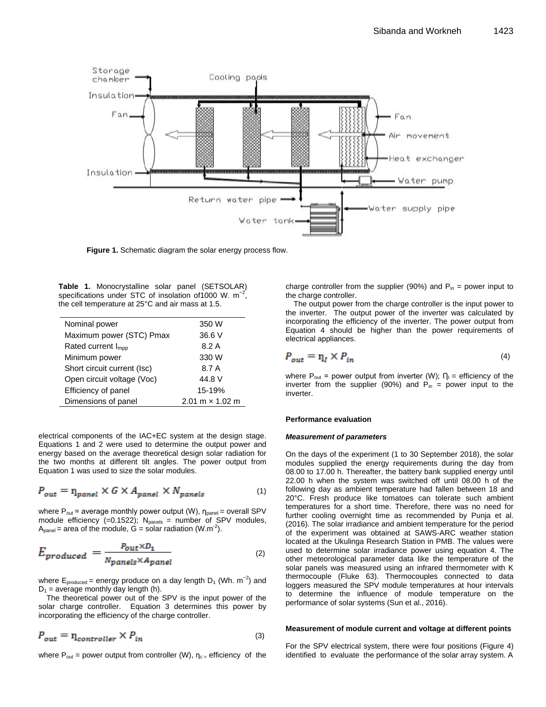

**Figure 1.** Schematic diagram the solar energy process flow.

**Table 1.** Monocrystalline solar panel (SETSOLAR) specifications under STC of insolation of 1000 W. m<sup>-2</sup>, the cell temperature at 25°C and air mass at 1.5.

| Nominal power                  | 350 W                  |
|--------------------------------|------------------------|
| Maximum power (STC) Pmax       | 36.6 V                 |
| Rated current I <sub>mpp</sub> | 8.2A                   |
| Minimum power                  | 330 W                  |
| Short circuit current (Isc)    | 8.7 A                  |
| Open circuit voltage (Voc)     | 44.8 V                 |
| Efficiency of panel            | 15-19%                 |
| Dimensions of panel            | 2.01 $m \times 1.02$ m |

electrical components of the IAC+EC system at the design stage. Equations 1 and 2 were used to determine the output power and energy based on the average theoretical design solar radiation for the two months at different tilt angles. The power output from Equation 1 was used to size the solar modules.

$$
P_{out} = \eta_{panel} \times G \times A_{panel} \times N_{panels}
$$
 (1)

where  $P_{out}$  = average monthly power output (W),  $n_{panel}$  = overall SPV module efficiency (=0.1522);  $N_{\text{panels}}$  = number of SPV modules,  $A_{\text{panel}}$  = area of the module,  $G =$  solar radiation (W.m<sup>-2</sup>).

$$
E_{produced} = \frac{P_{out} \times D_1}{N_{panels} \times A_{panel}}
$$
\n(2)

where  $E_{\text{produced}}$  = energy produce on a day length D<sub>1</sub> (Wh. m<sup>-2</sup>) and  $D_1$  = average monthly day length (h).

The theoretical power out of the SPV is the input power of the solar charge controller. Equation 3 determines this power by incorporating the efficiency of the charge controller.

$$
P_{out} = \eta_{controller} \times P_{in}
$$
 (3)

where  $P_{out}$  = power output from controller (W),  $n_{c}$  = efficiency of the

charge controller from the supplier (90%) and  $P_{in}$  = power input to the charge controller.

The output power from the charge controller is the input power to the inverter. The output power of the inverter was calculated by incorporating the efficiency of the inverter. The power output from Equation 4 should be higher than the power requirements of electrical appliances.

$$
P_{out} = \eta_I \times P_{in} \tag{4}
$$

where  $P_{out}$  = power output from inverter (W);  $\Gamma_{II}$  = efficiency of the inverter from the supplier (90%) and  $P_{in}$  = power input to the inverter.

#### **Performance evaluation**

#### *Measurement of parameters*

On the days of the experiment (1 to 30 September 2018), the solar modules supplied the energy requirements during the day from 08.00 to 17.00 h. Thereafter, the battery bank supplied energy until 22.00 h when the system was switched off until 08.00 h of the following day as ambient temperature had fallen between 18 and 20°C. Fresh produce like tomatoes can tolerate such ambient temperatures for a short time. Therefore, there was no need for further cooling overnight time as recommended by Punja et al. (2016). The solar irradiance and ambient temperature for the period of the experiment was obtained at SAWS-ARC weather station located at the Ukulinga Research Station in PMB. The values were used to determine solar irradiance power using equation 4. The other meteorological parameter data like the temperature of the solar panels was measured using an infrared thermometer with K thermocouple (Fluke 63). Thermocouples connected to data loggers measured the SPV module temperatures at hour intervals to determine the influence of module temperature on the performance of solar systems (Sun et al., 2016).

#### **Measurement of module current and voltage at different points**

For the SPV electrical system, there were four positions (Figure 4) identified to evaluate the performance of the solar array system. A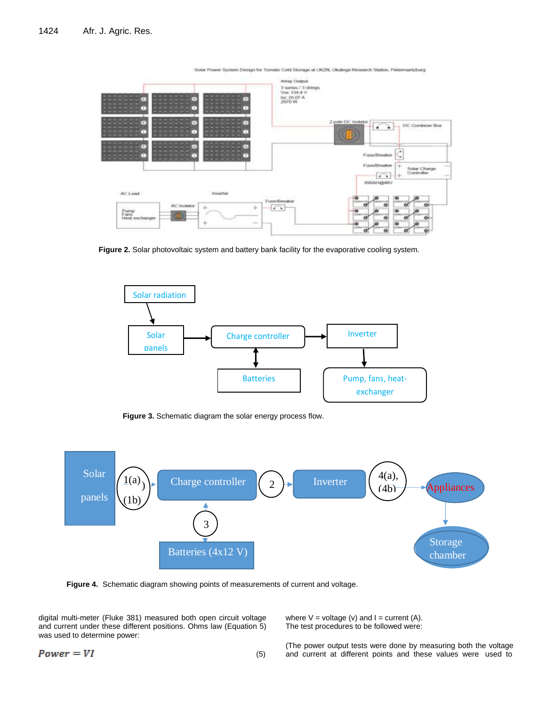

Solar Phwer System Design for Tomato Cold Storage at UKZN, Ukulinga Research Station, Petermantstorg

Figure 2. Solar photovoltaic system and battery bank facility for the evaporative cooling system.



**Figure 3.** Schematic diagram the solar energy process flow.



**Figure 4.** Schematic diagram showing points of measurements of current and voltage.

digital multi-meter (Fluke 381) measured both open circuit voltage and current under these different positions. Ohms law (Equation 5) was used to determine power:

The test procedures to be followed were:

 $Power = VI$ (5)

(The power output tests were done by measuring both the voltage and current at different points and these values were used to

where  $V =$  voltage (v) and  $I =$  current (A).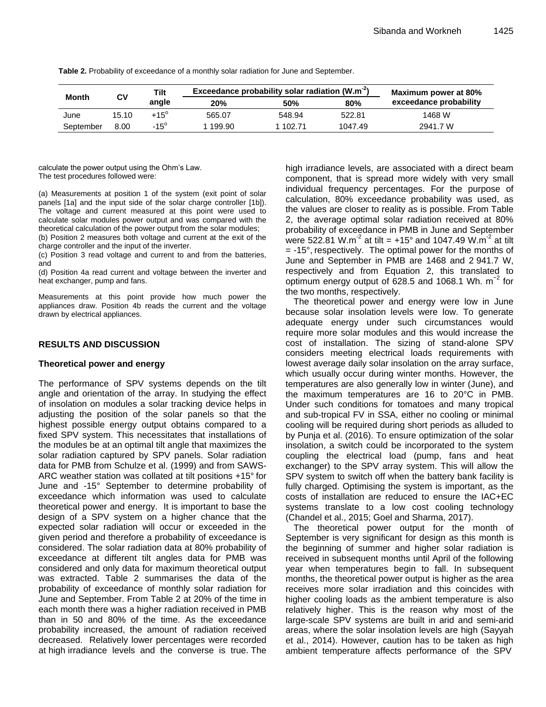|           | C٧    | Tilt        | Exceedance probability solar radiation (W.m <sup>-2</sup> ) |          | Maximum power at 80% |                        |
|-----------|-------|-------------|-------------------------------------------------------------|----------|----------------------|------------------------|
| Month     |       | angle       | <b>20%</b>                                                  | 50%      | 80%                  | exceedance probability |
| June      | 15.10 | $+15^\circ$ | 565.07                                                      | 548.94   | 522.81               | 1468 W                 |
| September | 8.00  | $-15^\circ$ | 1 199.90                                                    | 1 102.71 | 1047.49              | 2941.7 W               |

**Table 2.** Probability of exceedance of a monthly solar radiation for June and September.

calculate the power output using the Ohm's Law. The test procedures followed were:

(a) Measurements at position 1 of the system (exit point of solar panels [1a] and the input side of the solar charge controller [1b]). The voltage and current measured at this point were used to calculate solar modules power output and was compared with the theoretical calculation of the power output from the solar modules;

(b) Position 2 measures both voltage and current at the exit of the charge controller and the input of the inverter.

(c) Position 3 read voltage and current to and from the batteries, and

(d) Position 4a read current and voltage between the inverter and heat exchanger, pump and fans.

Measurements at this point provide how much power the appliances draw. Position 4b reads the current and the voltage drawn by electrical appliances.

# **RESULTS AND DISCUSSION**

#### **Theoretical power and energy**

The performance of SPV systems depends on the tilt angle and orientation of the array. In studying the effect of insolation on modules a solar tracking device helps in adjusting the position of the solar panels so that the highest possible energy output obtains compared to a fixed SPV system. This necessitates that installations of the modules be at an optimal tilt angle that maximizes the solar radiation captured by SPV panels. Solar radiation data for PMB from Schulze et al. (1999) and from SAWS-ARC weather station was collated at tilt positions +15° for June and -15° September to determine probability of exceedance which information was used to calculate theoretical power and energy. It is important to base the design of a SPV system on a higher chance that the expected solar radiation will occur or exceeded in the given period and therefore a probability of exceedance is considered. The solar radiation data at 80% probability of exceedance at different tilt angles data for PMB was considered and only data for maximum theoretical output was extracted. Table 2 summarises the data of the probability of exceedance of monthly solar radiation for June and September. From Table 2 at 20% of the time in each month there was a higher radiation received in PMB than in 50 and 80% of the time. As the exceedance probability increased, the amount of radiation received decreased. Relatively lower percentages were recorded at high irradiance levels and the converse is true. The

high irradiance levels, are associated with a direct beam component, that is spread more widely with very small individual frequency percentages. For the purpose of calculation, 80% exceedance probability was used, as the values are closer to reality as is possible. From Table 2, the average optimal solar radiation received at 80% probability of exceedance in PMB in June and September were 522.81 W.m<sup>-2</sup> at tilt = +15° and 1047.49 W.m<sup>-2</sup> at tilt  $= -15^{\circ}$ , respectively. The optimal power for the months of June and September in PMB are 1468 and 2 941.7 W, respectively and from Equation 2, this translated to optimum energy output of 628.5 and 1068.1 Wh. m<sup>-2</sup> for the two months, respectively.

The theoretical power and energy were low in June because solar insolation levels were low. To generate adequate energy under such circumstances would require more solar modules and this would increase the cost of installation. The sizing of stand-alone SPV considers meeting electrical loads requirements with lowest average daily solar insolation on the array surface, which usually occur during winter months. However, the temperatures are also generally low in winter (June), and the maximum temperatures are 16 to 20°C in PMB. Under such conditions for tomatoes and many tropical and sub-tropical FV in SSA, either no cooling or minimal cooling will be required during short periods as alluded to by Punja et al. (2016). To ensure optimization of the solar insolation, a switch could be incorporated to the system coupling the electrical load (pump, fans and heat exchanger) to the SPV array system. This will allow the SPV system to switch off when the battery bank facility is fully charged. Optimising the system is important, as the costs of installation are reduced to ensure the IAC+EC systems translate to a low cost cooling technology (Chandel et al., 2015; Goel and Sharma, 2017).

The theoretical power output for the month of September is very significant for design as this month is the beginning of summer and higher solar radiation is received in subsequent months until April of the following year when temperatures begin to fall. In subsequent months, the theoretical power output is higher as the area receives more solar irradiation and this coincides with higher cooling loads as the ambient temperature is also relatively higher. This is the reason why most of the large-scale SPV systems are built in arid and semi-arid areas, where the solar insolation levels are high (Sayyah et al., 2014). However, caution has to be taken as high ambient temperature affects performance of the SPV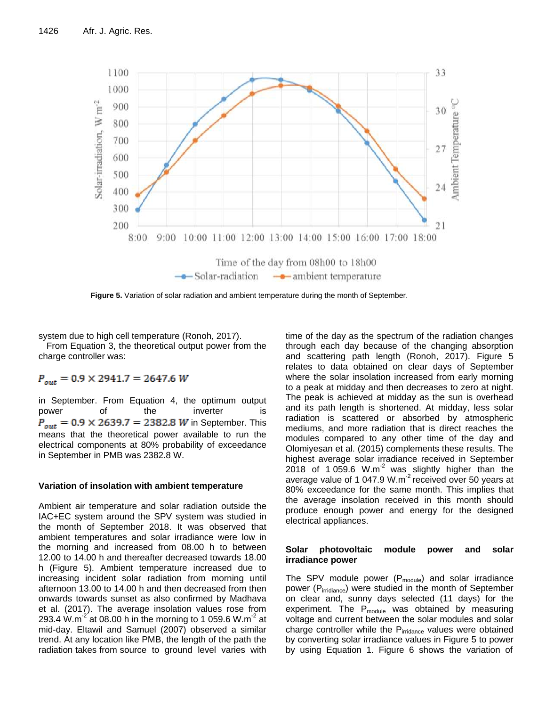

**Figure 5.** Variation of solar radiation and ambient temperature during the month of September.

system due to high cell temperature (Ronoh, 2017).

From Equation 3, the theoretical output power from the charge controller was:

 $P_{out} = 0.9 \times 2941.7 = 2647.6 W$ 

in September. From Equation 4, the optimum output power of the inverter is  $P_{out} = 0.9 \times 2639.7 = 2382.8$  *W* in September. This means that the theoretical power available to run the electrical components at 80% probability of exceedance in September in PMB was 2382.8 W.

# **Variation of insolation with ambient temperature**

Ambient air temperature and solar radiation outside the IAC+EC system around the SPV system was studied in the month of September 2018. It was observed that ambient temperatures and solar irradiance were low in the morning and increased from 08.00 h to between 12.00 to 14.00 h and thereafter decreased towards 18.00 h (Figure 5). Ambient temperature increased due to increasing incident solar radiation from morning until afternoon 13.00 to 14.00 h and then decreased from then onwards towards sunset as also confirmed by Madhava et al. (2017). The average insolation values rose from 293.4 W.m<sup>-2</sup> at 08.00 h in the morning to 1 059.6 W.m<sup>-2</sup> at mid-day. Eltawil and Samuel (2007) observed a similar trend. At any location like PMB, the length of the path the radiation takes from source to ground level varies with

time of the day as the spectrum of the radiation changes through each day because of the changing absorption and scattering path length (Ronoh, 2017). Figure 5 relates to data obtained on clear days of September where the solar insolation increased from early morning to a peak at midday and then decreases to zero at night. The peak is achieved at midday as the sun is overhead and its path length is shortened. At midday, less solar radiation is scattered or absorbed by atmospheric mediums, and more radiation that is direct reaches the modules compared to any other time of the day and Olomiyesan et al. (2015) complements these results. The highest average solar irradiance received in September 2018 of 1 059.6  $W.m<sup>-2</sup>$  was slightly higher than the average value of 1 047.9 W.m<sup>-2</sup> received over 50 years at 80% exceedance for the same month. This implies that the average insolation received in this month should produce enough power and energy for the designed electrical appliances.

# **Solar photovoltaic module power and solar irradiance power**

The SPV module power  $(P_{module})$  and solar irradiance power (Pirridiance) were studied in the month of September on clear and, sunny days selected (11 days) for the experiment. The  $P_{module}$  was obtained by measuring voltage and current between the solar modules and solar charge controller while the P<sub>irridance</sub> values were obtained by converting solar irradiance values in Figure 5 to power by using Equation 1. Figure 6 shows the variation of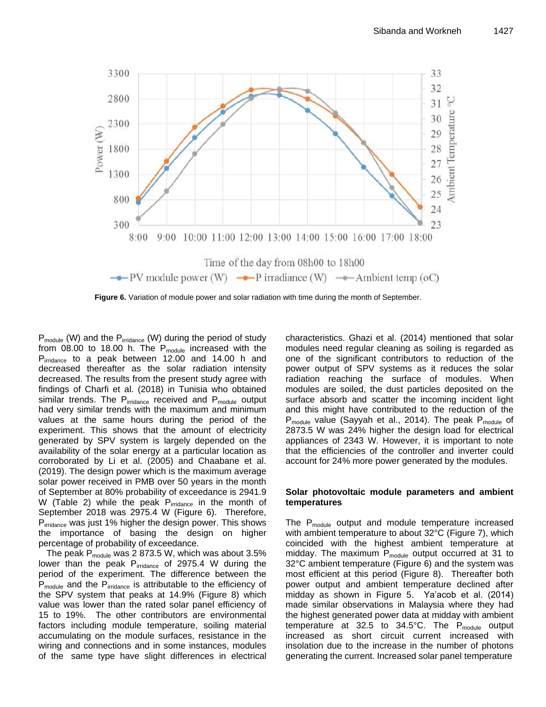

**Figure 6.** Variation of module power and solar radiation with time during the month of September.

P<sub>module</sub> (W) and the P<sub>irridance</sub> (W) during the period of study from  $08.00$  to  $18.00$  h. The  $P_{module}$  increased with the P<sub>irridance</sub> to a peak between 12.00 and 14.00 h and decreased thereafter as the solar radiation intensity decreased. The results from the present study agree with findings of Charfi et al. (2018) in Tunisia who obtained similar trends. The  $P_{iridance}$  received and  $P_{module}$  output had very similar trends with the maximum and minimum values at the same hours during the period of the experiment. This shows that the amount of electricity generated by SPV system is largely depended on the availability of the solar energy at a particular location as corroborated by Li et al. (2005) and Chaabane et al. (2019). The design power which is the maximum average solar power received in PMB over 50 years in the month of September at 80% probability of exceedance is 2941.9 W (Table 2) while the peak  $P_{irridance}$  in the month of September 2018 was 2975.4 W (Figure 6). Therefore, P<sub>irridance</sub> was just 1% higher the design power. This shows the importance of basing the design on higher percentage of probability of exceedance.

The peak  $P_{module}$  was 2 873.5 W, which was about 3.5% lower than the peak P<sub>irridance</sub> of 2975.4 W during the period of the experiment. The difference between the P<sub>module</sub> and the P<sub>irridance</sub> is attributable to the efficiency of the SPV system that peaks at 14.9% (Figure 8) which value was lower than the rated solar panel efficiency of 15 to 19%. The other contributors are environmental factors including module temperature, soiling material accumulating on the module surfaces, resistance in the wiring and connections and in some instances, modules of the same type have slight differences in electrical

characteristics. Ghazi et al. (2014) mentioned that solar modules need regular cleaning as soiling is regarded as one of the significant contributors to reduction of the power output of SPV systems as it reduces the solar radiation reaching the surface of modules. When modules are soiled, the dust particles deposited on the surface absorb and scatter the incoming incident light and this might have contributed to the reduction of the  $P_{module}$  value (Sayyah et al., 2014). The peak  $P_{module}$  of 2873.5 W was 24% higher the design load for electrical appliances of 2343 W. However, it is important to note that the efficiencies of the controller and inverter could account for 24% more power generated by the modules.

#### **Solar photovoltaic module parameters and ambient temperatures**

The  $P_{module}$  output and module temperature increased with ambient temperature to about 32°C (Figure 7), which coincided with the highest ambient temperature at midday. The maximum  $P_{module}$  output occurred at 31 to 32°C ambient temperature (Figure 6) and the system was most efficient at this period (Figure 8). Thereafter both power output and ambient temperature declined after midday as shown in Figure 5. Ya'acob et al. (2014) made similar observations in Malaysia where they had the highest generated power data at midday with ambient temperature at 32.5 to  $34.5^{\circ}$ C. The P<sub>module</sub> output increased as short circuit current increased with insolation due to the increase in the number of photons generating the current. Increased solar panel temperature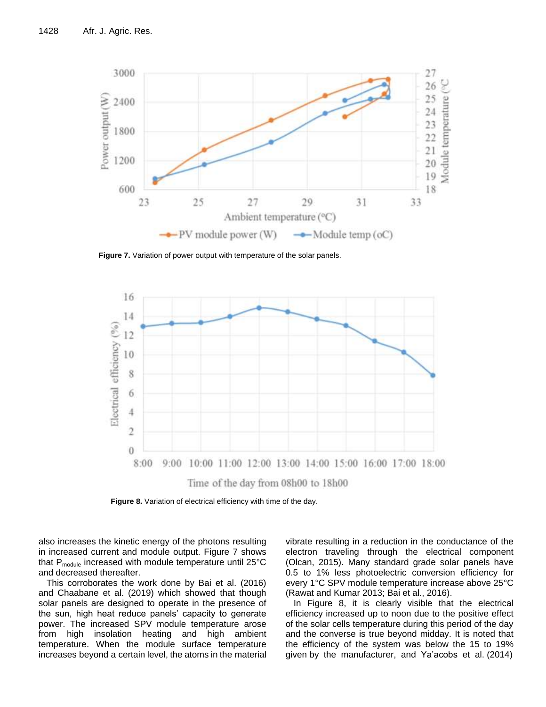

**Figure 7.** Variation of power output with temperature of the solar panels.



**Figure 8.** Variation of electrical efficiency with time of the day.

also increases the kinetic energy of the photons resulting in increased current and module output. Figure 7 shows that  $P_{module}$  increased with module temperature until 25 $°C$ and decreased thereafter.

This corroborates the work done by Bai et al. (2016) and Chaabane et al. (2019) which showed that though solar panels are designed to operate in the presence of the sun, high heat reduce panels' capacity to generate power. The increased SPV module temperature arose from high insolation heating and high ambient temperature. When the module surface temperature increases beyond a certain level, the atoms in the material vibrate resulting in a reduction in the conductance of the electron traveling through the electrical component (Olcan, 2015). Many standard grade solar panels have 0.5 to 1% less photoelectric conversion efficiency for every 1°C SPV module temperature increase above 25°C (Rawat and Kumar 2013; Bai et al., 2016).

In Figure 8, it is clearly visible that the electrical efficiency increased up to noon due to the positive effect of the solar cells temperature during this period of the day and the converse is true beyond midday. It is noted that the efficiency of the system was below the 15 to 19% given by the manufacturer, and Ya'acobs et al. (2014)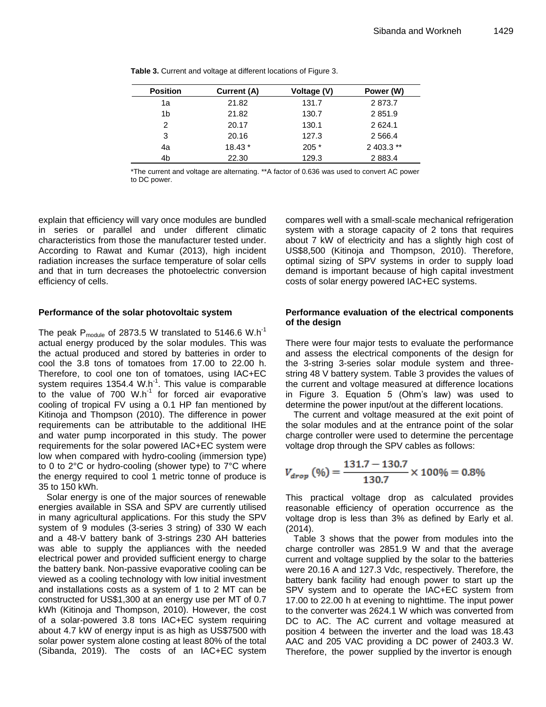| <b>Position</b> | Current (A) | Voltage (V) | Power (W)   |
|-----------------|-------------|-------------|-------------|
| 1a              | 21.82       | 131.7       | 2873.7      |
| 1b              | 21.82       | 130.7       | 2851.9      |
| 2               | 20.17       | 130.1       | 2624.1      |
| 3               | 20.16       | 127.3       | 2 5 6 6.4   |
| 4a              | $18.43*$    | $205*$      | $2403.3$ ** |
| 4b              | 22.30       | 129.3       | 2 8 8 3.4   |

**Table 3.** Current and voltage at different locations of Figure 3.

\*The current and voltage are alternating. \*\*A factor of 0.636 was used to convert AC power to DC power.

explain that efficiency will vary once modules are bundled in series or parallel and under different climatic characteristics from those the manufacturer tested under. According to Rawat and Kumar (2013), high incident radiation increases the surface temperature of solar cells and that in turn decreases the photoelectric conversion efficiency of cells.

# **Performance of the solar photovoltaic system**

The peak  $P_{module}$  of 2873.5 W translated to 5146.6 W.h<sup>-1</sup> actual energy produced by the solar modules. This was the actual produced and stored by batteries in order to cool the 3.8 tons of tomatoes from 17.00 to 22.00 h. Therefore, to cool one ton of tomatoes, using IAC+EC system requires 1354.4 W.h<sup>-1</sup>. This value is comparable to the value of 700  $W.h^{-1}$  for forced air evaporative cooling of tropical FV using a 0.1 HP fan mentioned by Kitinoja and Thompson (2010). The difference in power requirements can be attributable to the additional IHE and water pump incorporated in this study. The power requirements for the solar powered IAC+EC system were low when compared with hydro-cooling (immersion type) to 0 to 2°C or hydro-cooling (shower type) to 7°C where the energy required to cool 1 metric tonne of produce is 35 to 150 kWh.

Solar energy is one of the major sources of renewable energies available in SSA and SPV are currently utilised in many agricultural applications. For this study the SPV system of 9 modules (3-series 3 string) of 330 W each and a 48-V battery bank of 3-strings 230 AH batteries was able to supply the appliances with the needed electrical power and provided sufficient energy to charge the battery bank. Non-passive evaporative cooling can be viewed as a cooling technology with low initial investment and installations costs as a system of 1 to 2 MT can be constructed for US\$1,300 at an energy use per MT of 0.7 kWh (Kitinoja and Thompson, 2010). However, the cost of a solar-powered 3.8 tons IAC+EC system requiring about 4.7 kW of energy input is as high as US\$7500 with solar power system alone costing at least 80% of the total (Sibanda, 2019). The costs of an IAC+EC system

compares well with a small-scale mechanical refrigeration system with a storage capacity of 2 tons that requires about 7 kW of electricity and has a slightly high cost of US\$8,500 (Kitinoja and Thompson, 2010). Therefore, optimal sizing of SPV systems in order to supply load demand is important because of high capital investment costs of solar energy powered IAC+EC systems.

# **Performance evaluation of the electrical components of the design**

There were four major tests to evaluate the performance and assess the electrical components of the design for the 3-string 3-series solar module system and threestring 48 V battery system. Table 3 provides the values of the current and voltage measured at difference locations in Figure 3. Equation 5 (Ohm's law) was used to determine the power input/out at the different locations.

The current and voltage measured at the exit point of the solar modules and at the entrance point of the solar charge controller were used to determine the percentage voltage drop through the SPV cables as follows:

$$
V_{drop} (\%) = \frac{131.7 - 130.7}{130.7} \times 100\% = 0.8\%
$$

This practical voltage drop as calculated provides reasonable efficiency of operation occurrence as the voltage drop is less than 3% as defined by Early et al. (2014).

Table 3 shows that the power from modules into the charge controller was 2851.9 W and that the average current and voltage supplied by the solar to the batteries were 20.16 A and 127.3 Vdc, respectively. Therefore, the battery bank facility had enough power to start up the SPV system and to operate the IAC+EC system from 17.00 to 22.00 h at evening to nighttime. The input power to the converter was 2624.1 W which was converted from DC to AC. The AC current and voltage measured at position 4 between the inverter and the load was 18.43 AAC and 205 VAC providing a DC power of 2403.3 W. Therefore, the power supplied by the invertor is enough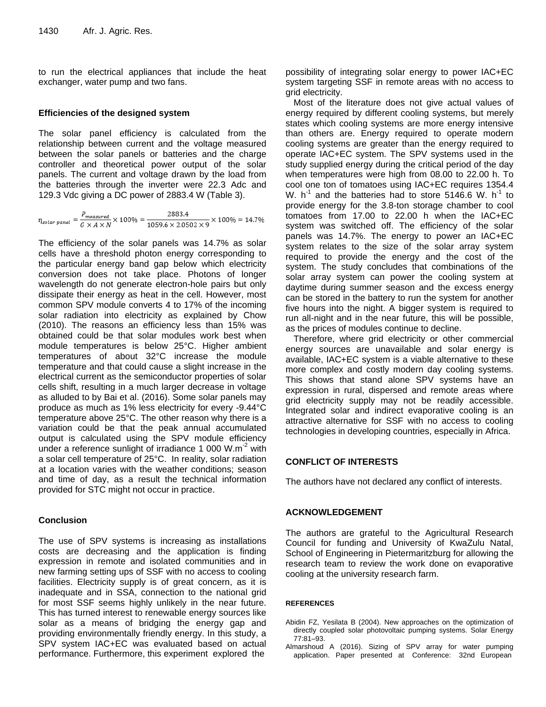to run the electrical appliances that include the heat exchanger, water pump and two fans.

#### **Efficiencies of the designed system**

The solar panel efficiency is calculated from the relationship between current and the voltage measured between the solar panels or batteries and the charge controller and theoretical power output of the solar panels. The current and voltage drawn by the load from the batteries through the inverter were 22.3 Adc and 129.3 Vdc giving a DC power of 2883.4 W (Table 3).

 $\eta_{solar \; panel} = \frac{P_{measured}}{G \times A \times N} \times 100\% = \frac{2883.4}{1059.6 \times 2.0502 \times 9} \times 100\% = 14.7\%$ 

The efficiency of the solar panels was 14.7% as solar cells have a threshold photon energy corresponding to the particular energy band gap below which electricity conversion does not take place. Photons of longer wavelength do not generate electron-hole pairs but only dissipate their energy as heat in the cell. However, most common SPV module converts 4 to 17% of the incoming solar radiation into electricity as explained by Chow (2010). The reasons an efficiency less than 15% was obtained could be that solar modules work best when module temperatures is below 25°C. Higher ambient temperatures of about 32°C increase the module temperature and that could cause a slight increase in the electrical current as the semiconductor properties of solar cells shift, resulting in a much larger decrease in voltage as alluded to by Bai et al. (2016). Some solar panels may produce as much as 1% less electricity for every -9.44°C temperature above 25°C. The other reason why there is a variation could be that the peak annual accumulated output is calculated using the SPV module efficiency under a reference sunlight of irradiance 1 000 W.m<sup>-2</sup> with a solar cell temperature of 25°C. In reality, solar radiation at a location varies with the weather conditions; season and time of day, as a result the technical information provided for STC might not occur in practice.

#### **Conclusion**

The use of SPV systems is increasing as installations costs are decreasing and the application is finding expression in remote and isolated communities and in new farming setting ups of SSF with no access to cooling facilities. Electricity supply is of great concern, as it is inadequate and in SSA, connection to the national grid for most SSF seems highly unlikely in the near future. This has turned interest to renewable energy sources like solar as a means of bridging the energy gap and providing environmentally friendly energy. In this study, a SPV system IAC+EC was evaluated based on actual performance. Furthermore, this experiment explored the

possibility of integrating solar energy to power IAC+EC system targeting SSF in remote areas with no access to grid electricity.

Most of the literature does not give actual values of energy required by different cooling systems, but merely states which cooling systems are more energy intensive than others are. Energy required to operate modern cooling systems are greater than the energy required to operate IAC+EC system. The SPV systems used in the study supplied energy during the critical period of the day when temperatures were high from 08.00 to 22.00 h. To cool one ton of tomatoes using IAC+EC requires 1354.4 W.  $h^{-1}$  and the batteries had to store 5146.6 W.  $h^{-1}$  to provide energy for the 3.8-ton storage chamber to cool tomatoes from 17.00 to 22.00 h when the IAC+EC system was switched off. The efficiency of the solar panels was 14.7%. The energy to power an IAC+EC system relates to the size of the solar array system required to provide the energy and the cost of the system. The study concludes that combinations of the solar array system can power the cooling system at daytime during summer season and the excess energy can be stored in the battery to run the system for another five hours into the night. A bigger system is required to run all-night and in the near future, this will be possible, as the prices of modules continue to decline.

Therefore, where grid electricity or other commercial energy sources are unavailable and solar energy is available, IAC+EC system is a viable alternative to these more complex and costly modern day cooling systems. This shows that stand alone SPV systems have an expression in rural, dispersed and remote areas where grid electricity supply may not be readily accessible. Integrated solar and indirect evaporative cooling is an attractive alternative for SSF with no access to cooling technologies in developing countries, especially in Africa.

#### **CONFLICT OF INTERESTS**

The authors have not declared any conflict of interests.

#### **ACKNOWLEDGEMENT**

The authors are grateful to the Agricultural Research Council for funding and University of KwaZulu Natal, School of Engineering in Pietermaritzburg for allowing the research team to review the work done on evaporative cooling at the university research farm.

#### **REFERENCES**

- Abidin FZ, Yesilata B (2004). New approaches on the optimization of directly coupled solar photovoltaic pumping systems. Solar Energy 77:81–93.
- Almarshoud A (2016). Sizing of SPV array for water pumping application. Paper presented at Conference: 32nd European